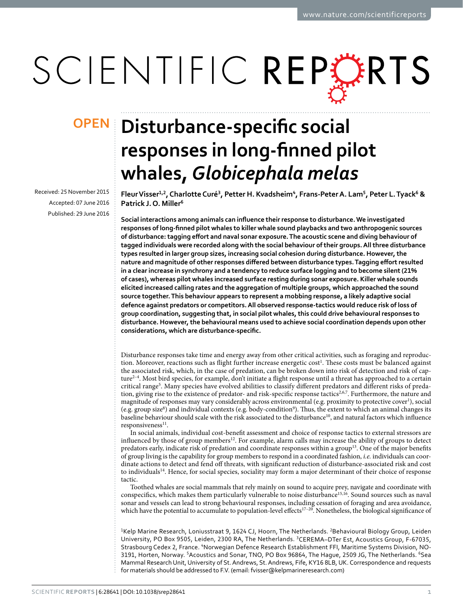# SCIENTIFIC REPORTS

Received: 25 November 2015 accepted: 07 June 2016 Published: 29 June 2016

## **Disturbance-specific social OPENresponses in long-finned pilot whales,** *Globicephala melas*

**FleurVisser1,2, Charlotte Curé3, Petter H. Kvadsheim4, Frans-PeterA. Lam5, Peter L.Tyack6 & Patrick J. O. Miller6**

**Social interactions among animals can influence their response to disturbance. We investigated responses of long-finned pilot whales to killer whale sound playbacks and two anthropogenic sources of disturbance: tagging effort and naval sonar exposure. The acoustic scene and diving behaviour of tagged individuals were recorded along with the social behaviour of their groups. All three disturbance types resulted in larger group sizes, increasing social cohesion during disturbance. However, the nature and magnitude of other responses differed between disturbance types. Tagging effort resulted in a clear increase in synchrony and a tendency to reduce surface logging and to become silent (21% of cases), whereas pilot whales increased surface resting during sonar exposure. Killer whale sounds elicited increased calling rates and the aggregation of multiple groups, which approached the sound source together. This behaviour appears to represent a mobbing response, a likely adaptive social defence against predators or competitors. All observed response-tactics would reduce risk of loss of group coordination, suggesting that, in social pilot whales, this could drive behavioural responses to disturbance. However, the behavioural means used to achieve social coordination depends upon other considerations, which are disturbance-specific.**

Disturbance responses take time and energy away from other critical activities, such as foraging and reproduc-tion. Moreover, reactions such as flight further increase energetic cost<sup>[1](#page-8-0)</sup>. These costs must be balanced against the associated risk, which, in the case of predation, can be broken down into risk of detection and risk of captur[e2–4](#page-8-1). Most bird species, for example, don't initiate a flight response until a threat has approached to a certain critical range<sup>[5](#page-8-2)</sup>. Many species have evolved abilities to classify different predators and different risks of preda-tion, giving rise to the existence of predator- and risk-specific response tactics<sup>[2,](#page-8-1)[6](#page-8-3)[,7](#page-9-0)</sup>. Furthermore, the nature and magnitude of responses may vary considerably across environmental (e.g. proximity to protective cover<sup>1</sup>), social (e.g. group size<sup>8</sup>) and individual contexts (e.g. body-condition<sup>9</sup>). Thus, the extent to which an animal changes its baseline behaviour should scale with the risk associated to the disturbance<sup>10</sup>, and natural factors which influence responsiveness<sup>11</sup>.

In social animals, individual cost-benefit assessment and choice of response tactics to external stressors are influenced by those of group members[12](#page-9-5). For example, alarm calls may increase the ability of groups to detect predators early, indicate risk of predation and coordinate responses within a group[13.](#page-9-6) One of the major benefits of group living is the capability for group members to respond in a coordinated fashion, *i.e.* individuals can coordinate actions to detect and fend off threats, with significant reduction of disturbance-associated risk and cost to individuals<sup>14</sup>. Hence, for social species, sociality may form a major determinant of their choice of response tactic.

Toothed whales are social mammals that rely mainly on sound to acquire prey, navigate and coordinate with conspecifics, which makes them particularly vulnerable to noise disturbanc[e15](#page-9-8),[16](#page-9-9). Sound sources such as naval sonar and vessels can lead to strong behavioural responses, including cessation of foraging and area avoidance, which have the potential to accumulate to population-level effects<sup>17–20</sup>. Nonetheless, the biological significance of

<sup>1</sup>Kelp Marine Research, Loniusstraat 9, 1624 CJ, Hoorn, The Netherlands. <sup>2</sup>Behavioural Biology Group, Leiden University, PO Box 9505, Leiden, 2300 RA, The Netherlands. 3CEREMA–DTer Est, Acoustics Group, F-67035, Strasbourg Cedex 2, France. 4Norwegian Defence Research Establishment FFI, Maritime Systems Division, NO-3191, Horten, Norway. <sup>5</sup>Acoustics and Sonar, TNO, PO Box 96864, The Hague, 2509 JG, The Netherlands. <sup>6</sup>Sea Mammal Research Unit, University of St. Andrews, St. Andrews, Fife, KY16 8LB, UK. Correspondence and requests for materials should be addressed to F.V. (email: [fvisser@kelpmarineresearch.com\)](mailto:fvisser@kelpmarineresearch.com)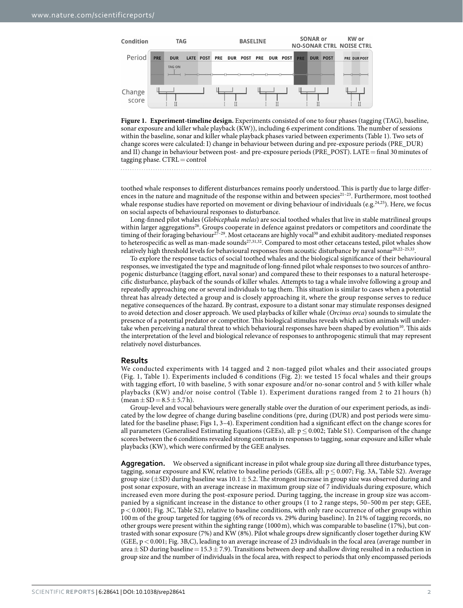

<span id="page-1-0"></span>**Figure 1. Experiment-timeline design.** Experiments consisted of one to four phases (tagging (TAG), baseline, sonar exposure and killer whale playback (KW)), including 6 experiment conditions. The number of sessions within the baseline, sonar and killer whale playback phases varied between experiments ([Table 1\)](#page-2-0). Two sets of change scores were calculated: I) change in behaviour between during and pre-exposure periods (PRE\_DUR) and II) change in behaviour between post- and pre-exposure periods (PRE\_POST). LATE=final 30minutes of tagging phase. CTRL = control

toothed whale responses to different disturbances remains poorly understood. This is partly due to large differences in the nature and magnitude of the response within and between species<sup>21–23</sup>. Furthermore, most toothed whale response studies have reported on movement or diving behaviour of individuals (e.g.<sup>24,25</sup>). Here, we focus on social aspects of behavioural responses to disturbance.

Long-finned pilot whales (*Globicephala melas*) are social toothed whales that live in stable matrilineal groups within larger aggregations<sup>26</sup>. Groups cooperate in defence against predators or competitors and coordinate the timing of their foraging behaviour<sup>27-29</sup>. Most cetaceans are highly vocal<sup>[30](#page-9-16)</sup> and exhibit auditory-mediated responses to heterospecific as well as man-made sounds<sup>27,[31,](#page-9-17)32</sup>. Compared to most other cetaceans tested, pilot whales show relatively high threshold levels for behavioural responses from acoustic disturbance by naval sona[r20,](#page-9-19)[22–25](#page-9-20),[33](#page-9-21).

To explore the response tactics of social toothed whales and the biological significance of their behavioural responses, we investigated the type and magnitude of long-finned pilot whale responses to two sources of anthropogenic disturbance (tagging effort, naval sonar) and compared these to their responses to a natural heterospecific disturbance, playback of the sounds of killer whales. Attempts to tag a whale involve following a group and repeatedly approaching one or several individuals to tag them. This situation is similar to cases when a potential threat has already detected a group and is closely approaching it, where the group response serves to reduce negative consequences of the hazard. By contrast, exposure to a distant sonar may stimulate responses designed to avoid detection and closer approach. We used playbacks of killer whale (*Orcinus orca*) sounds to simulate the presence of a potential predator or competitor. This biological stimulus reveals which action animals will under-take when perceiving a natural threat to which behavioural responses have been shaped by evolution<sup>[10](#page-9-3)</sup>. This aids the interpretation of the level and biological relevance of responses to anthropogenic stimuli that may represent relatively novel disturbances.

#### **Results**

We conducted experiments with 14 tagged and 2 non-tagged pilot whales and their associated groups ([Fig. 1,](#page-1-0) [Table 1](#page-2-0)). Experiments included 6 conditions ([Fig. 2](#page-3-0)): we tested 15 focal whales and their groups with tagging effort, 10 with baseline, 5 with sonar exposure and/or no-sonar control and 5 with killer whale playbacks (KW) and/or noise control ([Table 1](#page-2-0)). Experiment durations ranged from 2 to 21 hours (h)  $(\text{mean} \pm \text{SD} = 8.5 \pm 5.7 \text{ h}).$ 

Group-level and vocal behaviours were generally stable over the duration of our experiment periods, as indicated by the low degree of change during baseline conditions (pre, during (DUR) and post periods were simulated for the baseline phase; [Figs](#page-3-0) 1, [3–4\)](#page-4-0). Experiment condition had a significant effect on the change scores for all parameters (Generalised Estimating Equations (GEEs), all:  $p \le 0.002$ ; Table S1). Comparison of the change scores between the 6 conditions revealed strong contrasts in responses to tagging, sonar exposure and killer whale playbacks (KW), which were confirmed by the GEE analyses.

**Aggregation.** We observed a significant increase in pilot whale group size during all three disturbance types, tagging, sonar exposure and KW, relative to baseline periods (GEEs, all:  $p \le 0.007$ ; [Fig. 3A](#page-4-0), Table S2). Average group size ( $\pm$ SD) during baseline was 10.1  $\pm$  5.2. The strongest increase in group size was observed during and post sonar exposure, with an average increase in maximum group size of 7 individuals during exposure, which increased even more during the post-exposure period. During tagging, the increase in group size was accompanied by a significant increase in the distance to other groups (1 to 2 range steps, 50–500 m per step; GEE, p< 0.0001; [Fig. 3C](#page-4-0), Table S2), relative to baseline conditions, with only rare occurrence of other groups within 100 m of the group targeted for tagging (6% of records vs. 29% during baseline). In 21% of tagging records, no other groups were present within the sighting range (1000m), which was comparable to baseline (17%), but contrasted with sonar exposure (7%) and KW (8%). Pilot whale groups drew significantly closer together during KW (GEE,  $p < 0.001$ ; [Fig. 3B](#page-4-0),C), leading to an average increase of 23 individuals in the focal area (average number in area  $\pm$  SD during baseline = 15.3 $\pm$  7.9). Transitions between deep and shallow diving resulted in a reduction in group size and the number of individuals in the focal area, with respect to periods that only encompassed periods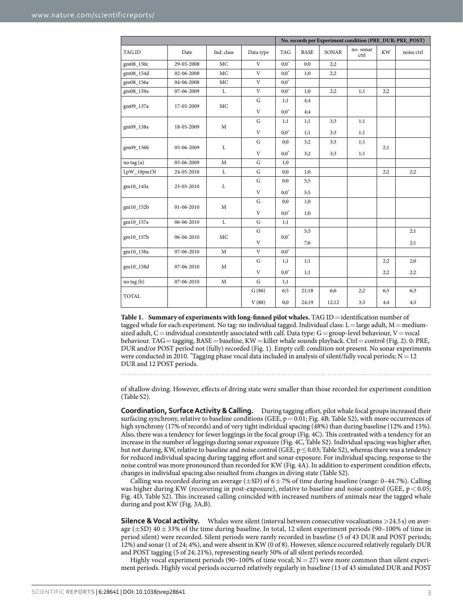<span id="page-2-0"></span>

|               |            |              |              |                     | No. records per Experiment condition (PRE_DUR; PRE_POST) |       |                  |           |            |  |
|---------------|------------|--------------|--------------|---------------------|----------------------------------------------------------|-------|------------------|-----------|------------|--|
| <b>TAG ID</b> | Date       | Ind. class   | Data type    | <b>TAG</b>          | <b>BASE</b>                                              | SONAR | no-sonar<br>ctrl | <b>KW</b> | noise ctrl |  |
| gm08_150c     | 29-05-2008 | MC           | V            | $0:0^*$             | 0;0                                                      | 2:2   |                  |           |            |  |
| gm08_154d     | 02-06-2008 | <b>MC</b>    | $\mathbf{V}$ | $0:0^{\frac{1}{6}}$ | 1:0                                                      | 2:2   |                  |           |            |  |
| gm08_156a     | 04-06-2008 | MC           | V            | $0:0^*$             |                                                          |       |                  |           |            |  |
| gm08_159a     | 07-06-2009 | $\mathbf L$  | V            | $0:0^*$             | 1;0                                                      | 2:2   | 1;1              | 2;2       |            |  |
| gm09_137a     | 17-05-2009 | MC           | ${\bf G}$    | 1;1                 | 4;4                                                      |       |                  |           |            |  |
|               |            |              | V            | $0:0^*$             | 4;4                                                      |       |                  |           |            |  |
| gm09_138a     | 18-05-2009 | $\mathbf M$  | ${\bf G}$    | 1:1                 | 1:1                                                      | 3:3   | 1:1              |           |            |  |
|               |            |              | $\mathbf V$  | $0:0^*$             | 1;1                                                      | 3:3   | 1;1              |           |            |  |
| gm09_156b     | 05-06-2009 | L            | ${\bf G}$    | 0;0                 | 3;2                                                      | 3:3   | 1;1              |           |            |  |
|               |            |              | $\mathbf{V}$ | $0:0^*$             | 3;2                                                      | 3:3   | 1;1              | 2:1       |            |  |
| no tag (a)    | 05-06-2009 | $\mathbf M$  | ${\bf G}$    | 1;0                 |                                                          |       |                  |           |            |  |
| LpW_10pm1N    | 24-05-2010 | L            | G            | 0;0                 | 1:0                                                      |       |                  | 2:2       | 2;2        |  |
| gm10_143a     | 23-05-2010 | L            | ${\bf G}$    | 0;0                 | 5:5                                                      |       |                  |           |            |  |
|               |            |              | V            | $0:0^*$             | 5:5                                                      |       |                  |           |            |  |
| gm10_152b     | 01-06-2010 | $\mathbf M$  | G            | 0;0                 | 1:0                                                      |       |                  |           |            |  |
|               |            |              | V            | $0:0^*$             | 1:0                                                      |       |                  |           |            |  |
| gm10_157a     | 06-06-2010 | $\mathbf L$  | ${\bf G}$    | 1:1                 |                                                          |       |                  |           |            |  |
| gm10_157b     | 06-06-2010 | MC           | ${\bf G}$    | $0:0^*$             | 5:5                                                      |       |                  |           | 2;1        |  |
|               |            |              | $\mathbf{V}$ |                     | 7:6                                                      |       |                  |           | 2;1        |  |
| gm10_158a     | 07-06-2010 | $\mathbf M$  | V            | $0:0^*$             |                                                          |       |                  |           |            |  |
| gm10_158d     | 07-06-2010 | $\mathbf{M}$ | ${\bf G}$    | 1;1                 | 1;1                                                      |       |                  | 2;2       | 2;0        |  |
|               |            |              | V            | $0:0^*$             | 1:1                                                      |       |                  | 2;2       | 2;2        |  |
| no tag (b)    | 07-06-2010 | $\mathbf{M}$ | G            | 1:1                 |                                                          |       |                  |           |            |  |
| <b>TOTAL</b>  |            |              | G(86)        | 6;5                 | 21:18                                                    | 6;6   | 2:2              | 6:5       | 6:3        |  |
|               |            |              | V(88)        | 0;0                 | 24;19                                                    | 12;12 | 3:3              | 4;4       | 4;3        |  |

**Table 1. Summary of experiments with long-finned pilot whales.** TAG ID=identification number of tagged whale for each experiment. No tag: no individual tagged. Individual class:  $L =$ large adult, M = mediumsized adult, C=individual consistently associated with calf. Data type: G=group-level behaviour, V=vocal behaviour. TAG = tagging, BASE = baseline, KW = killer whale sounds playback. Ctrl = control ([Fig. 2\)](#page-3-0). 0: PRE, DUR and/or POST period not (fully) recorded [\(Fig. 1](#page-1-0)). Empty cell: condition not present. No sonar experiments were conducted in 2010. \*Tagging phase vocal data included in analysis of silent/fully vocal periods;  $N=12$ DUR and 12 POST periods.

of shallow diving. However, effects of diving state were smaller than those recorded for experiment condition (Table S2).

**Coordination, Surface Activity & Calling.** During tagging effort, pilot whale focal groups increased their surfacing synchrony, relative to baseline conditions (GEE,  $p = 0.01$ ; [Fig. 4B](#page-5-0); Table S2), with more occurrences of high synchrony (17% of records) and of very tight individual spacing (48%) than during baseline (12% and 15%). Also, there was a tendency for fewer loggings in the focal group ([Fig. 4C](#page-5-0)). This contrasted with a tendency for an increase in the number of loggings during sonar exposure [\(Fig. 4C](#page-5-0), Table S2). Individual spacing was higher after, but not during, KW, relative to baseline and noise control (GEE,  $p \le 0.03$ ; Table S2), whereas there was a tendency for reduced individual spacing during tagging effort and sonar exposure. For individual spacing, response to the noise control was more pronounced than recorded for KW ([Fig. 4A\)](#page-5-0). In addition to experiment condition effects, changes in individual spacing also resulted from changes in diving state (Table S2).

Calling was recorded during an average ( $\pm$ SD) of 6 $\pm$  7% of time during baseline (range: 0–44.7%). Calling was higher during KW (recovering in post-exposure), relative to baseline and noise control (GEE,  $p < 0.05$ ; [Fig. 4D](#page-5-0), Table S2). This increased calling coincided with increased numbers of animals near the tagged whale during and post KW [\(Fig. 3A,](#page-4-0)B).

**Silence & Vocal activity.** Whales were silent (interval between consecutive vocalisations >24.5 s) on average ( $\pm$ SD) 40 $\pm$ 33% of the time during baseline. In total, 12 silent experiment periods (90–100% of time in period silent) were recorded. Silent periods were rarely recorded in baseline (5 of 43 DUR and POST periods; 12%) and sonar (1 of 24; 4%), and were absent in KW (0 of 8). However, silence occurred relatively regularly DUR and POST tagging (5 of 24; 21%), representing nearly 50% of all silent periods recorded.

Highly vocal experiment periods (90–100% of time vocal;  $N = 27$ ) were more common than silent experiment periods. Highly vocal periods occurred relatively regularly in baseline (13 of 43 simulated DUR and POST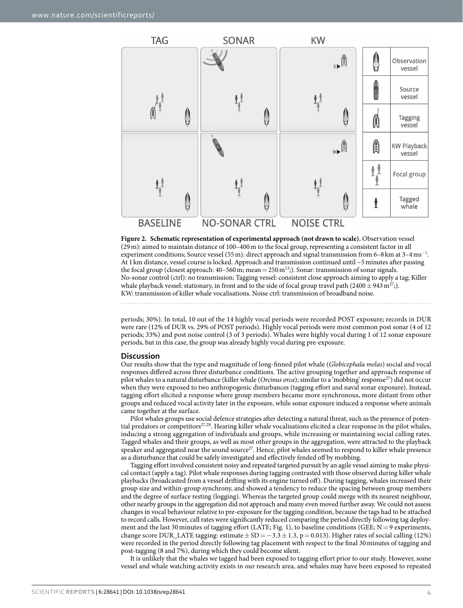

<span id="page-3-0"></span>**Figure 2. Schematic representation of experimental approach (not drawn to scale).** Observation vessel (29m): aimed to maintain distance of 100–400m to the focal group, representing a consistent factor in all experiment conditions; Source vessel (55 m): direct approach and signal transmission from 6–8 km at 3–4 ms<sup>-1</sup>. At 1 km distance, vessel course is locked. Approach and transmission continued until ~5minutes after passing the focal group (closest approach:  $40-560$  m; mean = 250 m<sup>[13](#page-9-6)</sup>;). Sonar: transmission of sonar signals. No-sonar control (ctrl): no transmission; Tagging vessel: consistent close approach aiming to apply a tag; Killer whale playback vessel: stationary, in front and to the side of focal group travel path (2400  $\pm$  943 m<sup>27</sup>;). KW: transmission of killer whale vocalisations. Noise ctrl: transmission of broadband noise.

periods; 30%). In total, 10 out of the 14 highly vocal periods were recorded POST exposure; records in DUR were rare (12% of DUR vs. 29% of POST periods). Highly vocal periods were most common post sonar (4 of 12 periods; 33%) and post noise control (3 of 3 periods). Whales were highly vocal during 1 of 12 sonar exposure periods, but in this case, the group was already highly vocal during pre-exposure.

#### **Discussion**

Our results show that the type and magnitude of long-finned pilot whale (*Globicephala melas*) social and vocal responses differed across three disturbance conditions. The active grouping together and approach response of pilot whales to a natural disturbance (killer whale (*Orcinus orca*); similar to a 'mobbing' respons[e27](#page-9-15)) did not occur when they were exposed to two anthropogenic disturbances (tagging effort and naval sonar exposure). Instead, tagging effort elicited a response where group members became more synchronous, more distant from other groups and reduced vocal activity later in the exposure, while sonar exposure induced a response where animals came together at the surface.

Pilot whales groups use social defence strategies after detecting a natural threat, such as the presence of poten-tial predators or competitors<sup>[27](#page-9-15),[28](#page-9-22)</sup>. Hearing killer whale vocalisations elicited a clear response in the pilot whales, inducing a strong aggregation of individuals and groups, while increasing or maintaining social calling rates. Tagged whales and their groups, as well as most other groups in the aggregation, were attracted to the playback speaker and aggregated near the sound source<sup>27</sup>. Hence, pilot whales seemed to respond to killer whale presence as a disturbance that could be safely investigated and effectively fended off by mobbing.

Tagging effort involved consistent noisy and repeated targeted pursuit by an agile vessel aiming to make physical contact (apply a tag). Pilot whale responses during tagging contrasted with those observed during killer whale playbacks (broadcasted from a vessel drifting with its engine turned off). During tagging, whales increased their group size and within-group synchrony, and showed a tendency to reduce the spacing between group members and the degree of surface resting (logging). Whereas the targeted group could merge with its nearest neighbour, other nearby groups in the aggregation did not approach and many even moved further away. We could not assess changes in vocal behaviour relative to pre-exposure for the tagging condition, because the tags had to be attached to record calls. However, call rates were significantly reduced comparing the period directly following tag deploy-ment and the last 30 minutes of tagging effort (LATE; [Fig. 1](#page-1-0)), to baseline conditions (GEE;  $N=9$  experiments, change score DUR\_LATE tagging: estimate  $\pm$  SD =  $-3.3 \pm 1.3$ , p = 0.013). Higher rates of social calling (12%) were recorded in the period directly following tag placement with respect to the final 30minutes of tagging and post-tagging (8 and 7%), during which they could become silent.

It is unlikely that the whales we tagged had been exposed to tagging effort prior to our study. However, some vessel and whale watching activity exists in our research area, and whales may have been exposed to repeated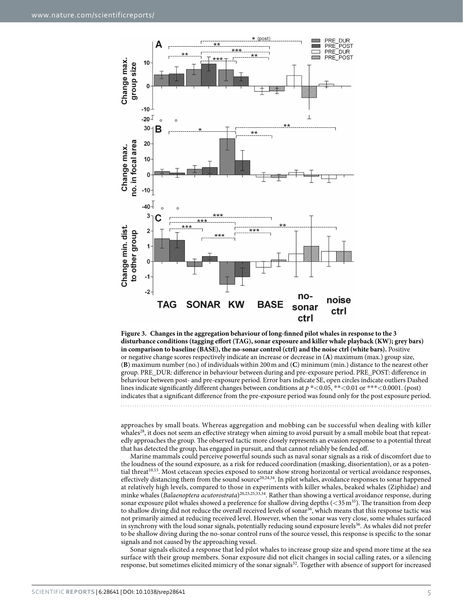

<span id="page-4-0"></span>**Figure 3. Changes in the aggregation behaviour of long-finned pilot whales in response to the 3 disturbance conditions (tagging effort (TAG), sonar exposure and killer whale playback (KW); grey bars) in comparison to baseline (BASE), the no-sonar control (ctrl) and the noise ctrl (white bars).** Positive or negative change scores respectively indicate an increase or decrease in (**A**) maximum (max.) group size, (**B**) maximum number (no.) of individuals within 200m and (**C**) minimum (min.) distance to the nearest other group. PRE\_DUR: difference in behaviour between during and pre-exposure period. PRE\_POST: difference in behaviour between post- and pre-exposure period. Error bars indicate SE, open circles indicate outliers Dashed lines indicate significantly different changes between conditions at  $p *<0.05$ , \*\*<0.01 or \*\*\*<0.0001. (post) indicates that a significant difference from the pre-exposure period was found only for the post exposure period.

approaches by small boats. Whereas aggregation and mobbing can be successful when dealing with killer whales<sup>28</sup>, it does not seem an effective strategy when aiming to avoid pursuit by a small mobile boat that repeatedly approaches the group. The observed tactic more closely represents an evasion response to a potential threat that has detected the group, has engaged in pursuit, and that cannot reliably be fended off.

Marine mammals could perceive powerful sounds such as naval sonar signals as a risk of discomfort due to the loudness of the sound exposure, as a risk for reduced coordination (masking, disorientation), or as a poten-tial threat<sup>[10,](#page-9-3)15</sup>. Most cetacean species exposed to sonar show strong horizontal or vertical avoidance responses, effectively distancing them from the sound source<sup>[20](#page-9-19),[24](#page-9-12),[34](#page-9-23)</sup>. In pilot whales, avoidance responses to sonar happened at relatively high levels, compared to those in experiments with killer whales, beaked whales (Ziphidae) and minke whales (*Balaenoptera acutorostrata*[\)20](#page-9-19)[,23](#page-9-24)[,25](#page-9-13)[,33,](#page-9-21)[34.](#page-9-23) Rather than showing a vertical avoidance response, during sonar exposure pilot whales showed a preference for shallow diving depths ( $\lt 35 \text{ m}^{35}$ ). The transition from deep to shallow diving did not reduce the overall received levels of sonar<sup>[36](#page-9-26)</sup>, which means that this response tactic was not primarily aimed at reducing received level. However, when the sonar was very close, some whales surfaced in synchrony with the loud sonar signals, potentially reducing sound exposure levels<sup>[36](#page-9-26)</sup>. As whales did not prefer to be shallow diving during the no-sonar control runs of the source vessel, this response is specific to the sonar signals and not caused by the approaching vessel.

Sonar signals elicited a response that led pilot whales to increase group size and spend more time at the sea surface with their group members. Sonar exposure did not elicit changes in social calling rates, or a silencing response, but sometimes elicited mimicry of the sonar signals<sup>[32](#page-9-18)</sup>. Together with absence of support for increased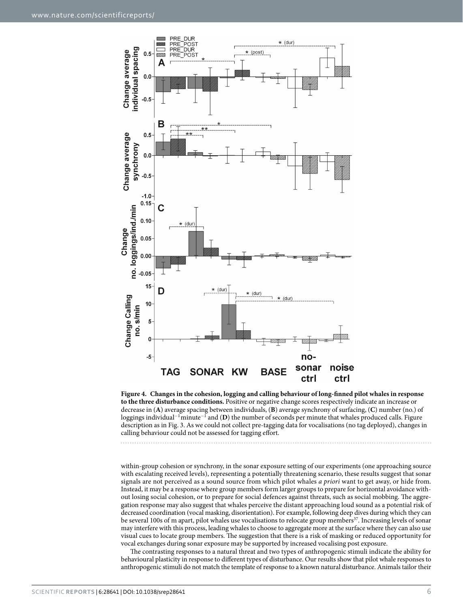

<span id="page-5-0"></span>**Figure 4. Changes in the cohesion, logging and calling behaviour of long-finned pilot whales in response to the three disturbance conditions.** Positive or negative change scores respectively indicate an increase or decrease in (**A**) average spacing between individuals, (**B**) average synchrony of surfacing, (**C**) number (no.) of loggings individual<sup>−</sup>1minute<sup>−</sup><sup>1</sup> and (**D**) the number of seconds per minute that whales produced calls. Figure description as in [Fig. 3](#page-4-0). As we could not collect pre-tagging data for vocalisations (no tag deployed), changes in calling behaviour could not be assessed for tagging effort.

within-group cohesion or synchrony, in the sonar exposure setting of our experiments (one approaching source with escalating received levels), representing a potentially threatening scenario, these results suggest that sonar signals are not perceived as a sound source from which pilot whales *a priori* want to get away, or hide from. Instead, it may be a response where group members form larger groups to prepare for horizontal avoidance without losing social cohesion, or to prepare for social defences against threats, such as social mobbing. The aggregation response may also suggest that whales perceive the distant approaching loud sound as a potential risk of decreased coordination (vocal masking, disorientation). For example, following deep dives during which they can be several 100s of m apart, pilot whales use vocalisations to relocate group members<sup>37</sup>. Increasing levels of sonar may interfere with this process, leading whales to choose to aggregate more at the surface where they can also use visual cues to locate group members. The suggestion that there is a risk of masking or reduced opportunity for vocal exchanges during sonar exposure may be supported by increased vocalising post exposure.

The contrasting responses to a natural threat and two types of anthropogenic stimuli indicate the ability for behavioural plasticity in response to different types of disturbance. Our results show that pilot whale responses to anthropogenic stimuli do not match the template of response to a known natural disturbance. Animals tailor their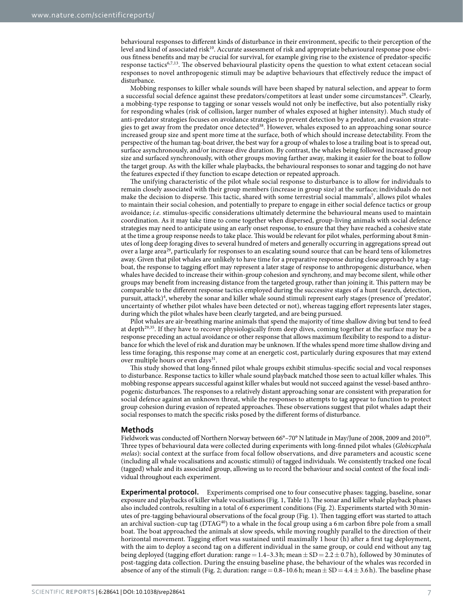behavioural responses to different kinds of disturbance in their environment, specific to their perception of the level and kind of associated risk<sup>10</sup>. Accurate assessment of risk and appropriate behavioural response pose obvious fitness benefits and may be crucial for survival, for example giving rise to the existence of predator-specific response tactics[6](#page-8-3)[,7](#page-9-0),[13](#page-9-6). The observed behavioural plasticity opens the question to what extent cetacean social responses to novel anthropogenic stimuli may be adaptive behaviours that effectively reduce the impact of disturbance.

Mobbing responses to killer whale sounds will have been shaped by natural selection, and appear to form a successful social defence against these predators/competitors at least under some circumstances<sup>[28](#page-9-22)</sup>. Clearly, a mobbing-type response to tagging or sonar vessels would not only be ineffective, but also potentially risky for responding whales (risk of collision, larger number of whales exposed at higher intensity). Much study of anti-predator strategies focuses on avoidance strategies to prevent detection by a predator, and evasion strategies to get away from the predator once detected<sup>38</sup>. However, whales exposed to an approaching sonar source increased group size and spent more time at the surface, both of which should increase detectability. From the perspective of the human tag-boat driver, the best way for a group of whales to lose a trailing boat is to spread out, surface asynchronously, and/or increase dive duration. By contrast, the whales being followed increased group size and surfaced synchronously, with other groups moving farther away, making it easier for the boat to follow the target group. As with the killer whale playbacks, the behavioural responses to sonar and tagging do not have the features expected if they function to escape detection or repeated approach.

The unifying characteristic of the pilot whale social response to disturbance is to allow for individuals to remain closely associated with their group members (increase in group size) at the surface; individuals do not make the decision to disperse. This tactic, shared with some terrestrial social mammals<sup>[7](#page-9-0)</sup>, allows pilot whales to maintain their social cohesion, and potentially to prepare to engage in either social defence tactics or group avoidance; *i.e.* stimulus-specific considerations ultimately determine the behavioural means used to maintain coordination. As it may take time to come together when dispersed, group-living animals with social defence strategies may need to anticipate using an early onset response, to ensure that they have reached a cohesive state at the time a group response needs to take place. This would be relevant for pilot whales, performing about 8minutes of long deep foraging dives to several hundred of meters and generally occurring in aggregations spread out over a large area<sup>29</sup>, particularly for responses to an escalating sound source that can be heard tens of kilometres away. Given that pilot whales are unlikely to have time for a preparative response during close approach by a tagboat, the response to tagging effort may represent a later stage of response to anthropogenic disturbance, when whales have decided to increase their within-group cohesion and synchrony, and may become silent, while other groups may benefit from increasing distance from the targeted group, rather than joining it. This pattern may be comparable to the different response tactics employed during the successive stages of a hunt (search, detection, pursuit, attack)<sup>4</sup>, whereby the sonar and killer whale sound stimuli represent early stages (presence of 'predator', uncertainty of whether pilot whales have been detected or not), whereas tagging effort represents later stages, during which the pilot whales have been clearly targeted, and are being pursued.

Pilot whales are air-breathing marine animals that spend the majority of time shallow diving but tend to feed at depth[29,](#page-9-29)[35.](#page-9-25) If they have to recover physiologically from deep dives, coming together at the surface may be a response preceding an actual avoidance or other response that allows maximum flexibility to respond to a disturbance for which the level of risk and duration may be unknown. If the whales spend more time shallow diving and less time foraging, this response may come at an energetic cost, particularly during exposures that may extend over multiple hours or even days<sup>[31](#page-9-17)</sup>.

This study showed that long-finned pilot whale groups exhibit stimulus-specific social and vocal responses to disturbance. Response tactics to killer whale sound playback matched those seen to actual killer whales. This mobbing response appears successful against killer whales but would not succeed against the vessel-based anthropogenic disturbances. The responses to a relatively distant approaching sonar are consistent with preparation for social defence against an unknown threat, while the responses to attempts to tag appear to function to protect group cohesion during evasion of repeated approaches. These observations suggest that pilot whales adapt their social responses to match the specific risks posed by the different forms of disturbance.

#### **Methods**

Fieldwork was conducted off Northern Norway between 66°–70° N latitude in May/June of 2008, 2009 and 2010<sup>39</sup>. Three types of behavioural data were collected during experiments with long-finned pilot whales (*Globicephala melas*): social context at the surface from focal follow observations, and dive parameters and acoustic scene (including all whale vocalisations and acoustic stimuli) of tagged individuals. We consistently tracked one focal (tagged) whale and its associated group, allowing us to record the behaviour and social context of the focal individual throughout each experiment.

**Experimental protocol.** Experiments comprised one to four consecutive phases: tagging, baseline, sonar exposure and playbacks of killer whale vocalisations ([Fig. 1](#page-1-0), [Table 1](#page-2-0)). The sonar and killer whale playback phases also included controls, resulting in a total of 6 experiment conditions [\(Fig. 2](#page-3-0)). Experiments started with 30minutes of pre-tagging behavioural observations of the focal group ([Fig. 1](#page-1-0)). Then tagging effort was started to attach an archival suction-cup tag (DTAG<sup>40</sup>) to a whale in the focal group using a 6 m carbon fibre pole from a small boat. The boat approached the animals at slow speeds, while moving roughly parallel to the direction of their horizontal movement. Tagging effort was sustained until maximally 1 hour (h) after a first tag deployment, with the aim to deploy a second tag on a different individual in the same group, or could end without any tag being deployed (tagging effort duration: range = 1.4–3.3 h; mean  $\pm$  SD = 2.2  $\pm$  0.7 h), followed by 30 minutes of post-tagging data collection. During the ensuing baseline phase, the behaviour of the whales was recorded in absence of any of the stimuli [\(Fig. 2](#page-3-0); duration: range =  $0.8-10.6$  h; mean  $\pm$  SD =  $4.4 \pm 3.6$  h). The baseline phase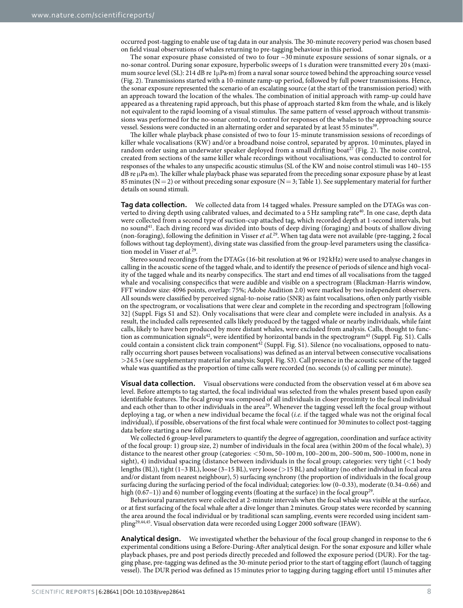occurred post-tagging to enable use of tag data in our analysis. The 30-minute recovery period was chosen based on field visual observations of whales returning to pre-tagging behaviour in this period.

The sonar exposure phase consisted of two to four ~30 minute exposure sessions of sonar signals, or a no-sonar control. During sonar exposure, hyperbolic sweeps of 1 s duration were transmitted every 20 s (maximum source level (SL): 214 dB re 1μPa∙m) from a naval sonar source towed behind the approaching source vessel ([Fig. 2\)](#page-3-0). Transmissions started with a 10-minute ramp-up period, followed by full power transmissions. Hence, the sonar exposure represented the scenario of an escalating source (at the start of the transmission period) with an approach toward the location of the whales. The combination of initial approach with ramp-up could have appeared as a threatening rapid approach, but this phase of approach started 8 km from the whale, and is likely not equivalent to the rapid looming of a visual stimulus. The same pattern of vessel approach without transmissions was performed for the no-sonar control, to control for responses of the whales to the approaching source vessel. Sessions were conducted in an alternating order and separated by at least 55 minutes<sup>39</sup>.

The killer whale playback phase consisted of two to four 15-minute transmission sessions of recordings of killer whale vocalisations (KW) and/or a broadband noise control, separated by approx. 10 minutes, played in random order using an underwater speaker deployed from a small drifting boat<sup>27</sup> [\(Fig. 2\)](#page-3-0). The noise control, created from sections of the same killer whale recordings without vocalisations, was conducted to control for responses of the whales to any unspecific acoustic stimulus (SL of the KW and noise control stimuli was 140–155 dB re μPa∙m). The killer whale playback phase was separated from the preceding sonar exposure phase by at least 85 minutes ( $N=2$ ) or without preceding sonar exposure ( $N=3$ ; [Table 1](#page-2-0)). See supplementary material for further details on sound stimuli.

**Tag data collection.** We collected data from 14 tagged whales. Pressure sampled on the DTAGs was converted to diving depth using calibrated values, and decimated to a 5Hz sampling rate<sup>40</sup>. In one case, depth data were collected from a second type of suction-cup attached tag, which recorded depth at 1-second intervals, but no soun[d41](#page-9-32). Each diving record was divided into bouts of deep diving (foraging) and bouts of shallow diving (non-foraging), following the definition in Visser *et al.*[29.](#page-9-29) When tag data were not available (pre-tagging, 2 focal follows without tag deployment), diving state was classified from the group-level parameters using the classification model in Visser *et al.*[29](#page-9-29).

Stereo sound recordings from the DTAGs (16-bit resolution at 96 or 192kHz) were used to analyse changes in calling in the acoustic scene of the tagged whale, and to identify the presence of periods of silence and high vocality of the tagged whale and its nearby conspecifics. The start and end times of all vocalisations from the tagged whale and vocalising conspecifics that were audible and visible on a spectrogram (Blackman-Harris window, FFT window size: 4096 points, overlap: 75%; Adobe Audition 2.0) were marked by two independent observers. All sounds were classified by perceived signal-to-noise ratio (SNR) as faint vocalisations, often only partly visible on the spectrogram, or vocalisations that were clear and complete in the recording and spectrogram [following 32] (Suppl. Figs S1 and S2). Only vocalisations that were clear and complete were included in analysis. As a result, the included calls represented calls likely produced by the tagged whale or nearby individuals, while faint calls, likely to have been produced by more distant whales, were excluded from analysis. Calls, thought to function as communication signals $42$ , were identified by horizontal bands in the spectrogram $43$  (Suppl. Fig. S1). Calls could contain a consistent click train component<sup>42</sup> (Suppl. Fig. S1). Silence (no vocalisations, opposed to naturally occurring short pauses between vocalisations) was defined as an interval between consecutive vocalisations >24.5 s (see supplementary material for analysis; Suppl. Fig. S3). Call presence in the acoustic scene of the tagged whale was quantified as the proportion of time calls were recorded (no. seconds (s) of calling per minute).

**Visual data collection.** Visual observations were conducted from the observation vessel at 6 m above sea level. Before attempts to tag started, the focal individual was selected from the whales present based upon easily identifiable features. The focal group was composed of all individuals in closer proximity to the focal individual and each other than to other individuals in the area<sup>29</sup>. Whenever the tagging vessel left the focal group without deploying a tag, or when a new individual became the focal (*i.e.* if the tagged whale was not the original focal individual), if possible, observations of the first focal whale were continued for 30minutes to collect post-tagging data before starting a new follow.

We collected 6 group-level parameters to quantify the degree of aggregation, coordination and surface activity of the focal group: 1) group size, 2) number of individuals in the focal area (within 200m of the focal whale), 3) distance to the nearest other group (categories: <50m, 50–100m, 100–200m, 200–500m, 500–1000m, none in sight), 4) individual spacing (distance between individuals in the focal group; categories: very tight  $\ll$ 1 body lengths (BL)), tight (1–3 BL), loose (3–15 BL), very loose (>15 BL) and solitary (no other individual in focal area and/or distant from nearest neighbour), 5) surfacing synchrony (the proportion of individuals in the focal group surfacing during the surfacing period of the focal individual; categories: low (0–0.33), moderate (0.34–0.66) and high (0.67–1)) and 6) number of logging events (floating at the surface) in the focal group<sup>[29](#page-9-29)</sup>.

Behavioural parameters were collected at 2-minute intervals when the focal whale was visible at the surface, or at first surfacing of the focal whale after a dive longer than 2minutes. Group states were recorded by scanning the area around the focal individual or by traditional scan sampling, events were recorded using incident samplin[g29,](#page-9-29)[44,](#page-9-35)[45.](#page-9-36) Visual observation data were recorded using Logger 2000 software (IFAW).

**Analytical design.** We investigated whether the behaviour of the focal group changed in response to the 6 experimental conditions using a Before-During-After analytical design. For the sonar exposure and killer whale playback phases, pre and post periods directly preceded and followed the exposure period (DUR). For the tagging phase, pre-tagging was defined as the 30-minute period prior to the start of tagging effort (launch of tagging vessel). The DUR period was defined as 15 minutes prior to tagging during tagging effort until 15 minutes after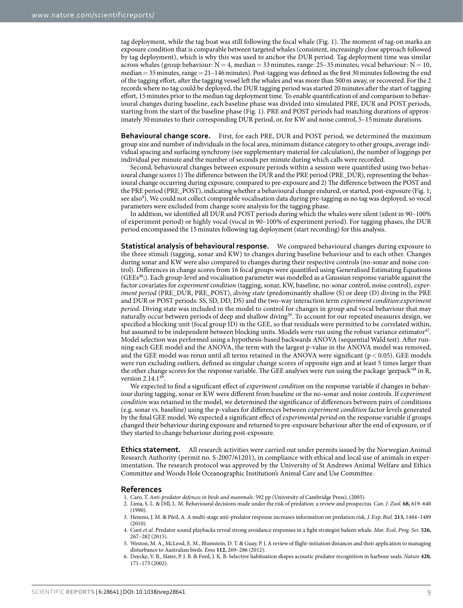tag deployment, while the tag boat was still following the focal whale [\(Fig. 1](#page-1-0)). The moment of tag-on marks an exposure condition that is comparable between targeted whales (consistent, increasingly close approach followed by tag deployment), which is why this was used to anchor the DUR period. Tag deployment time was similar across whales (group behaviour:  $N = 4$ , median = 33 minutes, range: 25–35 minutes; vocal behaviour:  $N = 10$ , median = 35 minutes, range = 21-146 minutes). Post-tagging was defined as the first 30 minutes following the end of the tagging effort, after the tagging vessel left the whales and was more than 500m away, or recovered. For the 2 records where no tag could be deployed, the DUR tagging period was started 20minutes after the start of tagging effort, 15minutes prior to the median tag deployment time. To enable quantification of and comparison to behavioural changes during baseline, each baseline phase was divided into simulated PRE, DUR and POST periods, starting from the start of the baseline phase [\(Fig. 1](#page-1-0)). PRE and POST periods had matching durations of approximately 30minutes to their corresponding DUR period, or, for KW and noise control, 5–15minute durations.

**Behavioural change score.** First, for each PRE, DUR and POST period, we determined the maximum group size and number of individuals in the focal area, minimum distance category to other groups, average individual spacing and surfacing synchrony (see supplementary material for calculation), the number of loggings per individual per minute and the number of seconds per minute during which calls were recorded.

Second, behavioural changes between exposure periods within a session were quantified using two behavioural change scores 1) The difference between the DUR and the PRE period (PRE\_DUR), representing the behavioural change occurring during exposure, compared to pre-exposure and 2) The difference between the POST and the PRE period (PRE\_POST), indicating whether a behavioural change endured, or started, post-exposure [\(Fig. 1;](#page-1-0) see also<sup>[4](#page-8-4)</sup>). We could not collect comparable vocalisation data during pre-tagging as no tag was deployed, so vocal parameters were excluded from change score analysis for the tagging phase.

In addition, we identified all DUR and POST periods during which the whales were silent (silent in 90–100% of experiment period) or highly vocal (vocal in 90–100% of experiment period). For tagging phases, the DUR period encompassed the 15minutes following tag deployment (start recording) for this analysis.

**Statistical analysis of behavioural response.** We compared behavioural changes during exposure to the three stimuli (tagging, sonar and KW) to changes during baseline behaviour and to each other. Changes during sonar and KW were also compared to changes during their respective controls (no-sonar and noise control). Differences in change scores from 16 focal groups were quantified using Generalised Estimating Equations  $(GEEs<sup>46</sup>)$  $(GEEs<sup>46</sup>)$  $(GEEs<sup>46</sup>)$ . Each group-level and vocalisation parameter was modelled as a Gaussian response variable against the factor covariates for *experiment condition* (tagging, sonar, KW, baseline, no-sonar control, noise control), *experiment period* (PRE\_DUR, PRE\_POST), *diving state* (predominantly shallow (S) or deep (D) diving in the PRE and DUR or POST periods: SS, SD, DD, DS) and the two-way interaction term *experiment condition:experiment period*. Diving state was included in the model to control for changes in group and vocal behaviour that may naturally occur between periods of deep and shallow diving[29.](#page-9-29) To account for our repeated measures design, we specified a blocking unit (focal group ID) in the GEE, so that residuals were permitted to be correlated within, but assumed to be independent between blocking units. Models were run using the robust variance estimator<sup>47</sup>. Model selection was performed using a hypothesis-based backwards ANOVA (sequential Wald test). After running each GEE model and the ANOVA, the term with the largest p-value in the ANOVA model was removed, and the GEE model was rerun until all terms retained in the ANOVA were significant ( $p < 0.05$ ). GEE models were run excluding outliers, defined as singular change scores of opposite sign and at least 5 times larger than the other change scores for the response variable. The GEE analyses were run using the package 'geepack'[48](#page-9-39) in R, version  $2.14.149$ 

We expected to find a significant effect of *experiment condition* on the response variable if changes in behaviour during tagging, sonar or KW were different from baseline or the no-sonar and noise controls. If *experiment condition* was retained in the model, we determined the significance of differences between pairs of conditions (e.g. sonar vs. baseline) using the p-values for differences between *experiment condition* factor levels generated by the final GEE model. We expected a significant effect of *experimental period* on the response variable if groups changed their behaviour during exposure and returned to pre-exposure behaviour after the end of exposure, or if they started to change behaviour during post-exposure.

**Ethics statement.** All research activities were carried out under permits issued by the Norwegian Animal Research Authority (permit no. S-2007/61201), in compliance with ethical and local use of animals in experimentation. The research protocol was approved by the University of St Andrews Animal Welfare and Ethics Committee and Woods Hole Oceanographic Institution's Animal Care and Use Committee.

#### **References**

- <span id="page-8-0"></span>1. Caro, T. *Anti-predator defences in birds and mammals*. 592 pp (University of Cambridge Press), (2005).
- <span id="page-8-1"></span>2. Lima, S. L. & Dill, L. M. Behavioural decisions made under the risk of predation: a review and prospectus. *Can. J. Zool.* **68,** 619–640  $(1990)$
- 3. Hemmi, J. M. & Pfeil, A. A multi-stage anti-predator response increases information on predation risk. *J. Exp. Biol.* **213,** 1484–1489 (2010).
- <span id="page-8-4"></span>4. Curé *et al.* Predator sound playbacks reveal strong avoidance responses in a fight strategist baleen whale. *Mar. Ecol. Prog. Ser.* **526,** 267–282 (2015).
- <span id="page-8-2"></span>5. Weston, M. A., McLeod, E. M., Blumstein, D. T. & Guay, P. J. A review of flight-initiation distances and their application to managing disturbance to Australian birds. *Emu* **112,** 269–286 (2012).
- <span id="page-8-3"></span>6. Deecke, V. B., Slater, P. J. B. & Ford, J. K. B. Selective habituation shapes acoustic predator recognition in harbour seals. *Nature* **420,** 171–173 (2002).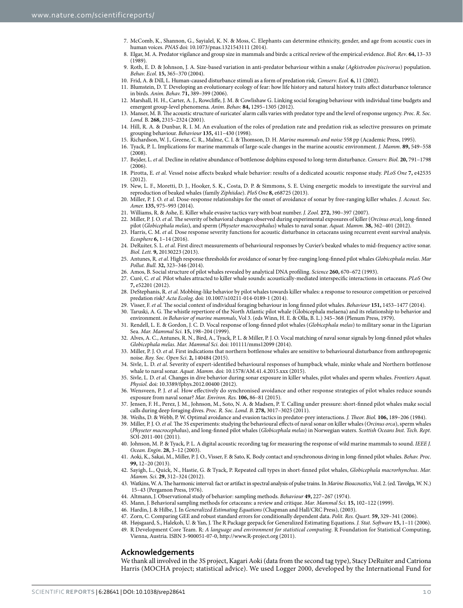- <span id="page-9-0"></span>7. McComb, K., Shannon, G., Sayialel, K. N. & Moss, C. Elephants can determine ethnicity, gender, and age from acoustic cues in human voices. *PNAS* doi: 10.1073/pnas.1321543111 (2014).
- <span id="page-9-1"></span>8. Elgar, M. A. Predator vigilance and group size in mammals and birds: a critical review of the empirical evidence. *Biol. Rev*. **64,** 13–33 (1989).
- <span id="page-9-2"></span>9. Roth, E. D. & Johnson, J. A. Size-based variation in anti-predator behaviour within a snake (*Agkistrodon piscivorus*) population. *Behav. Ecol.* **15,** 365–370 (2004).
- <span id="page-9-3"></span>10. Frid, A. & Dill, L. Human-caused disturbance stimuli as a form of predation risk. *Conserv. Ecol.* **6,** 11 (2002).
- <span id="page-9-4"></span>11. Blumstein, D. T. Developing an evolutionary ecology of fear: how life history and natural history traits affect disturbance tolerance in birds. *Anim. Behav.* **71,** 389–399 (2006).
- <span id="page-9-5"></span>12. Marshall, H. H., Carter, A. J., Rowcliffe, J. M. & Cowlishaw G. Linking social foraging behaviour with individual time budgets and emergent group-level phenomena. *Anim. Behav.* **84,** 1295–1305 (2012).
- <span id="page-9-6"></span>13. Manser, M. B. The acoustic structure of suricates' alarm calls varies with predator type and the level of response urgency. *Proc. R. Soc. Lond.* B. **268,** 2315–2324 (2001).
- <span id="page-9-7"></span>14. Hill, R. A. & Dunbar, R. I. M. An evaluation of the roles of predation rate and predation risk as selective pressures on primate grouping behaviour. *Behaviour* **135,** 411–430 (1998).
- <span id="page-9-8"></span>15. Richardson, W. J., Greene, C. R., Malme, C. I. & Thomson, D. H. *Marine mammals and noise* 558 pp (Academic Press, 1995).
- <span id="page-9-9"></span>16. Tyack, P. L. Implications for marine mammals of large-scale changes in the marine acoustic environment. *J. Mamm*. **89,** 549–558  $(2008)$
- <span id="page-9-10"></span>17. Bejder, L. *et al.* Decline in relative abundance of bottlenose dolphins exposed to long-term disturbance. *Conserv. Biol.* **20,** 791–1798  $(2006)$
- 18. Pirotta, E. *et al.* Vessel noise affects beaked whale behavior: results of a dedicated acoustic response study. *PLoS One* **7,** e42535 (2012).
- 19. New, L. F., Moretti, D. J., Hooker, S. K., Costa, D. P. & Simmons, S. E. Using energetic models to investigate the survival and reproduction of beaked whales (family *Ziphiidae*). *PloS One* **8,** e68725 (2013).
- <span id="page-9-19"></span>20. Miller, P. J. O. *et al.* Dose-response relationships for the onset of avoidance of sonar by free-ranging killer whales. *J. Acoust. Soc. Amer.* **135,** 975–993 (2014).
- <span id="page-9-11"></span>21. Williams, R. & Ashe, E. Killer whale evasive tactics vary with boat number. *J. Zool.* **272,** 390–397 (2007).
- <span id="page-9-20"></span>22. Miller, P. J. O. *et al.* The severity of behavioral changes observed during experimental exposures of killer (*Orcinus orca*), long-finned pilot (*Globicephala melas*), and sperm (*Physeter macrocephalus*) whales to naval sonar. *Aquat. Mamm.* **38,** 362–401 (2012).
- <span id="page-9-24"></span>23. Harris, C. M. *et al.* Dose response severity functions for acoustic disturbance in cetaceans using recurrent event survival analysis. *Ecosphere* **6,** 1–14 (2016).
- <span id="page-9-12"></span>24. DeRuiter, S. L. *et al.* First direct measurements of behavioural responses by Cuvier's beaked whales to mid-frequency active sonar. *Biol. Lett.* **9,** 20130223 (2013).
- <span id="page-9-13"></span>25. Antunes, R. *et al.* High response thresholds for avoidance of sonar by free-ranging long-finned pilot whales *Globicephala melas*. *Mar Pollut. Bull.* **32,** 323–346 (2014).
- <span id="page-9-14"></span>26. Amos, B. Social structure of pilot whales revealed by analytical DNA profiling. *Science* **260,** 670–672 (1993).
- <span id="page-9-15"></span>27. Curé, C. *et al.* Pilot whales attracted to killer whale sounds: acoustically-mediated interspecific interactions in cetaceans. *PLoS One* **7,** e52201 (2012).
- <span id="page-9-22"></span>28. DeStephanis, R. *et al.* Mobbing-like behavior by pilot whales towards killer whales: a response to resource competition or perceived predation risk? *Acta Ecolog*. doi: 10.1007/s10211-014-0189-1 (2014).
- <span id="page-9-29"></span>29. Visser, F. *et al.* The social context of individual foraging behaviour in long finned pilot whales. *Behaviour* **151,** 1453–1477 (2014).
- <span id="page-9-16"></span>30. Taruski, A. G. The whistle repertiore of the North Atlantic pilot whale (Globicephala melaena) and its relationship to behavior and environment. *in Behavior of marine mammals*, Vol 3. (eds Winn, H. E. & Olla, B. L.) 345–368 (Plenum Press, 1979).
- <span id="page-9-17"></span>31. Rendell, L. E. & Gordon, J. C. D. Vocal response of long-finned pilot whales (*Globicephala melas*) to military sonar in the Ligurian Sea. *Mar. Mammal Sci.* **15,** 198–204 (1999).
- <span id="page-9-18"></span>32. Alves, A. C., Antunes, R. N., Bird, A., Tyack, P. L. & Miller, P. J. O. Vocal matching of naval sonar signals by long-finned pilot whales *Globicephala melas*. *Mar. Mammal Sci.* doi: 101111/mms12099 (2014).
- <span id="page-9-21"></span>33. Miller, P. J. O. *et al.* First indications that northern bottlenose whales are sensitive to behavioural disturbance from anthropogenic noise. *Roy. Soc. Open Sci*. **2,** 140484 (2015).
- <span id="page-9-23"></span>34. Sivle, L. D. *et al.* Severity of expert-identified behavioural responses of humpback whale, minke whale and Northern bottlenose whale to naval sonar. *Aquat. Mamm*. doi: 10.1578/AM.41.4.2015.xxx (2015).
- <span id="page-9-25"></span>35. Sivle, L. D. *et al.* Changes in dive behavior during sonar exposure in killer whales, pilot whales and sperm whales. *Frontiers Aquat. Physiol.* doi: 10.3389/fphys.2012.00400 (2012).
- <span id="page-9-26"></span>36. Wensveen, P. J. *et al.* How effectively do synchronised avoidance and other response strategies of pilot whales reduce sounds exposure from naval sonar? *Mar. Environ. Res.* **106,** 86–81 (2015).
- <span id="page-9-27"></span>37. Jensen, F. H., Perez, J. M., Johnson, M., Soto, N. A. & Madsen, P. T. Calling under pressure: short-finned pilot whales make social calls during deep foraging dives. *Proc. R. Soc. Lond. B*. **278,** 3017–3025 (2011).
- <span id="page-9-28"></span>38. Weihs, D. & Webb, P. W. Optimal avoidance and evasion tactics in predator-prey interactions. *J. Theor. Biol.* **106,** 189–206 (1984).
- <span id="page-9-30"></span>39. Miller, P. J. O. *et al.* The 3S experiments: studying the behavioural effects of naval sonar on killer whales (*Orcinus orca*), sperm whales (*Physeter macrocepha*lus), and long-finned pilot whales (*Globicephala melas*) in Norwegian waters. *Scottish Oceans Inst. Tech. Rept*. SOI-2011-001 (2011).
- <span id="page-9-31"></span>40. Johnson, M. P. & Tyack, P. L. A digital acoustic recording tag for measuring the response of wild marine mammals to sound. *IEEE J. Ocean. Engin*. **28,** 3–12 (2003).
- <span id="page-9-32"></span>41. Aoki, K., Sakai, M., Miller, P. J. O., Visser, F. & Sato, K. Body contact and synchronous diving in long-finned pilot whales. *Behav. Proc*. **99,** 12–20 (2013).
- <span id="page-9-33"></span>42. Sayigh, L., Quick, N., Hastie, G. & Tyack, P. Repeated call types in short-finned pilot whales, *Globicephala macrorhynchus*. *Mar. Mamm. Sci*. **29,** 312–324 (2012).
- <span id="page-9-34"></span>43. Watkins, W. A. The harmonic interval: fact or artifact in spectral analysis of pulse trains. In *Marine Bioacoustics*, Vol. 2. (ed. Tavolga, W. N.) 15–43 (Pergamon Press, 1976).
- <span id="page-9-36"></span><span id="page-9-35"></span>44. Altmann, J. Observational study of behavior: sampling methods. *Behaviour* **49,** 227–267 (1974).
- 45. Mann, J. Behavioral sampling methods for cetaceans: a review and critique. *Mar. Mammal Sci.* **15,** 102–122 (1999).
- <span id="page-9-38"></span><span id="page-9-37"></span>46. Hardin, J. & Hilbe, J. In *Generalized Estimating Equations* (Chapman and Hall/CRC Press), (2003).
- 47. Zorn, C. Comparing GEE and robust standard errors for conditionally dependent data. *Polit. Res. Quart.* **59,** 329–341 (2006).
- 48. Højsgaard, S., Halekoh, U. & Yan, J. The R Package geepack for Generalized Estimating Equations. *J. Stat. Software* **15,** 1–11 (2006).
- <span id="page-9-40"></span><span id="page-9-39"></span>49. R Development Core Team. R: *A language and environment for statistical computing.* R Foundation for Statistical Computing, Vienna, Austria. ISBN 3-900051-07-0,<http://www.R-project.org>(2011).

#### **Acknowledgements**

We thank all involved in the 3S project, Kagari Aoki (data from the second tag type), Stacy DeRuiter and Catriona Harris (MOCHA project; statistical advice). We used Logger 2000, developed by the International Fund for